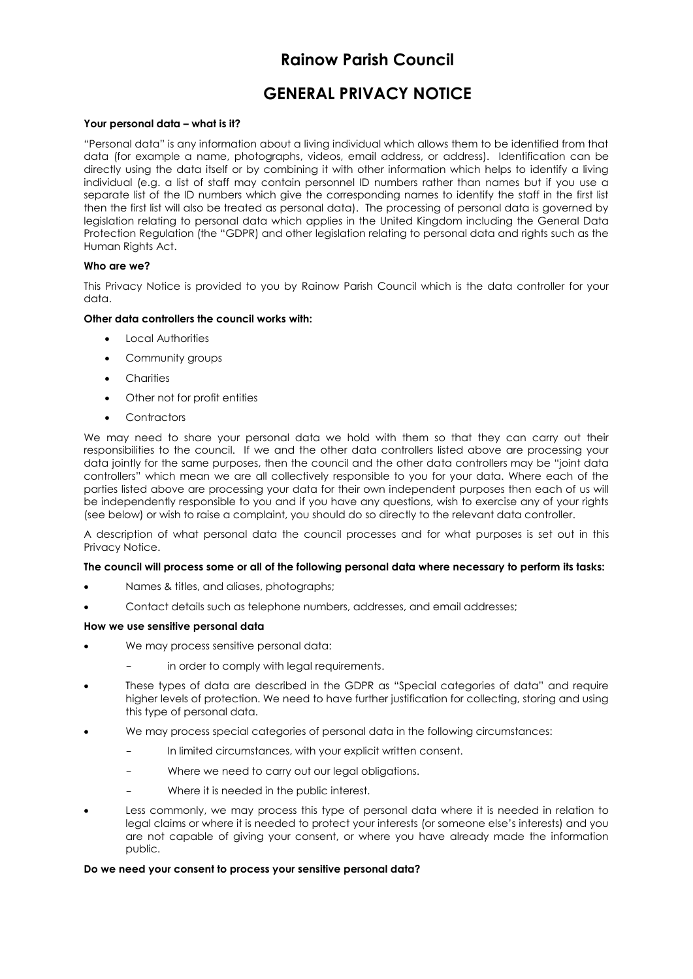# **Rainow Parish Council**

# **GENERAL PRIVACY NOTICE**

## **Your personal data – what is it?**

"Personal data" is any information about a living individual which allows them to be identified from that data (for example a name, photographs, videos, email address, or address). Identification can be directly using the data itself or by combining it with other information which helps to identify a living individual (e.g. a list of staff may contain personnel ID numbers rather than names but if you use a separate list of the ID numbers which give the corresponding names to identify the staff in the first list then the first list will also be treated as personal data). The processing of personal data is governed by legislation relating to personal data which applies in the United Kingdom including the General Data Protection Regulation (the "GDPR) and other legislation relating to personal data and rights such as the Human Rights Act.

## **Who are we?**

This Privacy Notice is provided to you by Rainow Parish Council which is the data controller for your data.

## **Other data controllers the council works with:**

- Local Authorities
- Community groups
- **Charities**
- Other not for profit entities
- **Contractors**

We may need to share your personal data we hold with them so that they can carry out their responsibilities to the council. If we and the other data controllers listed above are processing your data jointly for the same purposes, then the council and the other data controllers may be "joint data controllers" which mean we are all collectively responsible to you for your data. Where each of the parties listed above are processing your data for their own independent purposes then each of us will be independently responsible to you and if you have any questions, wish to exercise any of your rights (see below) or wish to raise a complaint, you should do so directly to the relevant data controller.

A description of what personal data the council processes and for what purposes is set out in this Privacy Notice.

## **The council will process some or all of the following personal data where necessary to perform its tasks:**

- Names & titles, and aliases, photographs;
- Contact details such as telephone numbers, addresses, and email addresses;

#### **How we use sensitive personal data**

- We may process sensitive personal data:
	- in order to comply with legal requirements.
- These types of data are described in the GDPR as "Special categories of data" and require higher levels of protection. We need to have further justification for collecting, storing and using this type of personal data.
- We may process special categories of personal data in the following circumstances:
	- In limited circumstances, with your explicit written consent.
	- Where we need to carry out our legal obligations.
	- Where it is needed in the public interest.
- Less commonly, we may process this type of personal data where it is needed in relation to legal claims or where it is needed to protect your interests (or someone else's interests) and you are not capable of giving your consent, or where you have already made the information public.

## **Do we need your consent to process your sensitive personal data?**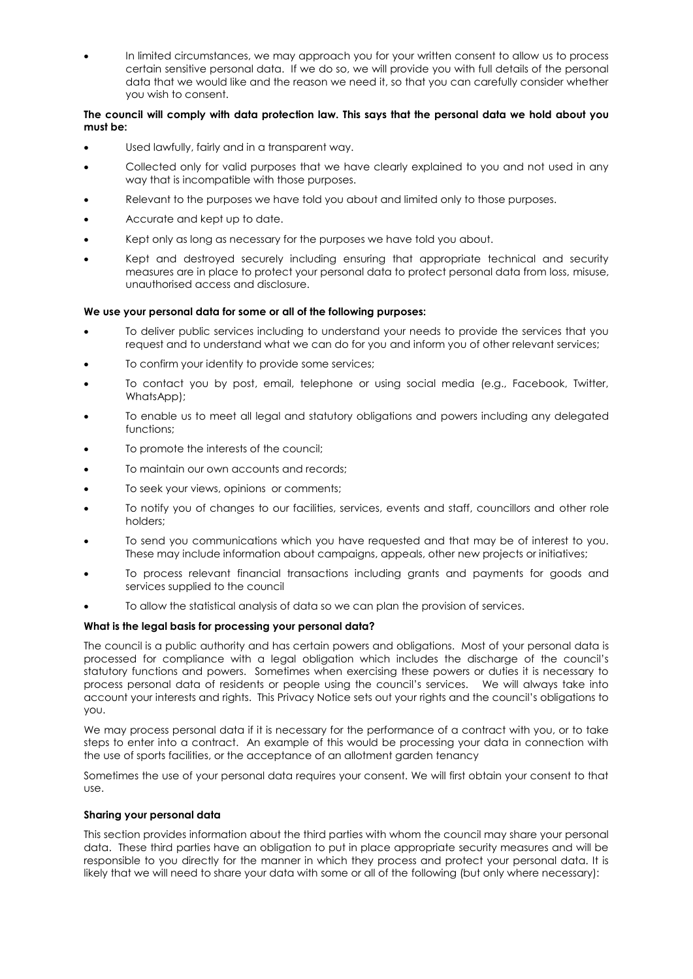• In limited circumstances, we may approach you for your written consent to allow us to process certain sensitive personal data. If we do so, we will provide you with full details of the personal data that we would like and the reason we need it, so that you can carefully consider whether you wish to consent.

## **The council will comply with data protection law. This says that the personal data we hold about you must be:**

- Used lawfully, fairly and in a transparent way.
- Collected only for valid purposes that we have clearly explained to you and not used in any way that is incompatible with those purposes.
- Relevant to the purposes we have told you about and limited only to those purposes.
- Accurate and kept up to date.
- Kept only as long as necessary for the purposes we have told you about.
- Kept and destroyed securely including ensuring that appropriate technical and security measures are in place to protect your personal data to protect personal data from loss, misuse, unauthorised access and disclosure.

## **We use your personal data for some or all of the following purposes:**

- To deliver public services including to understand your needs to provide the services that you request and to understand what we can do for you and inform you of other relevant services;
- To confirm your identity to provide some services;
- To contact you by post, email, telephone or using social media (e.g., Facebook, Twitter, WhatsApp);
- To enable us to meet all legal and statutory obligations and powers including any delegated functions;
- To promote the interests of the council;
- To maintain our own accounts and records;
- To seek your views, opinions or comments;
- To notify you of changes to our facilities, services, events and staff, councillors and other role holders;
- To send you communications which you have requested and that may be of interest to you. These may include information about campaigns, appeals, other new projects or initiatives;
- To process relevant financial transactions including grants and payments for goods and services supplied to the council
- To allow the statistical analysis of data so we can plan the provision of services.

## **What is the legal basis for processing your personal data?**

The council is a public authority and has certain powers and obligations. Most of your personal data is processed for compliance with a legal obligation which includes the discharge of the council's statutory functions and powers. Sometimes when exercising these powers or duties it is necessary to process personal data of residents or people using the council's services. We will always take into account your interests and rights. This Privacy Notice sets out your rights and the council's obligations to you.

We may process personal data if it is necessary for the performance of a contract with you, or to take steps to enter into a contract. An example of this would be processing your data in connection with the use of sports facilities, or the acceptance of an allotment garden tenancy

Sometimes the use of your personal data requires your consent. We will first obtain your consent to that use.

## **Sharing your personal data**

This section provides information about the third parties with whom the council may share your personal data. These third parties have an obligation to put in place appropriate security measures and will be responsible to you directly for the manner in which they process and protect your personal data. It is likely that we will need to share your data with some or all of the following (but only where necessary):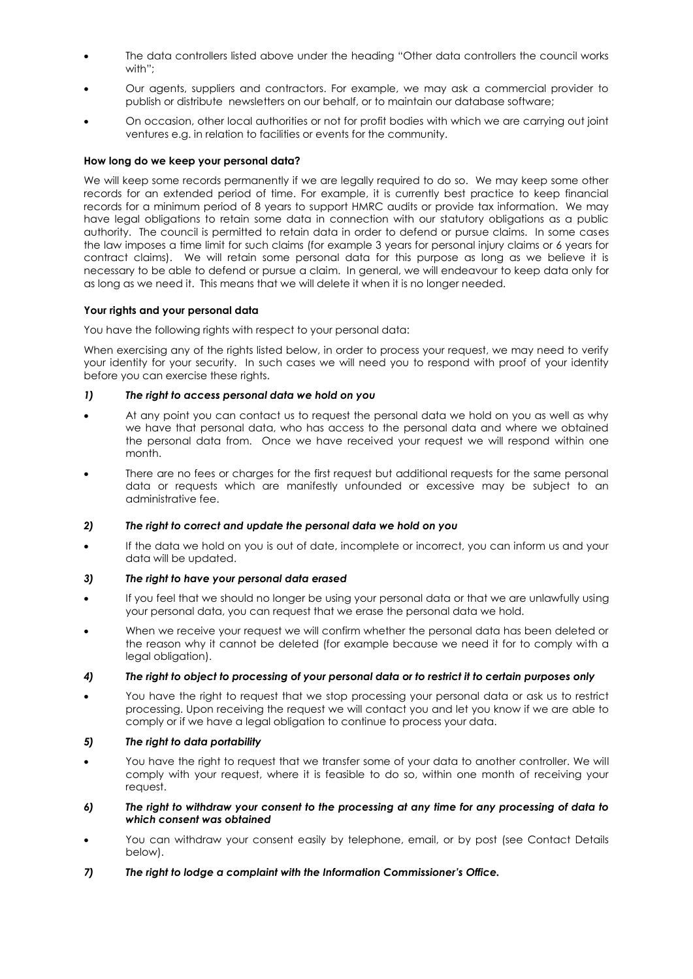- The data controllers listed above under the heading "Other data controllers the council works with";
- Our agents, suppliers and contractors. For example, we may ask a commercial provider to publish or distribute newsletters on our behalf, or to maintain our database software;
- On occasion, other local authorities or not for profit bodies with which we are carrying out joint ventures e.g. in relation to facilities or events for the community.

## **How long do we keep your personal data?**

We will keep some records permanently if we are legally required to do so. We may keep some other records for an extended period of time. For example, it is currently best practice to keep financial records for a minimum period of 8 years to support HMRC audits or provide tax information. We may have legal obligations to retain some data in connection with our statutory obligations as a public authority. The council is permitted to retain data in order to defend or pursue claims. In some cases the law imposes a time limit for such claims (for example 3 years for personal injury claims or 6 years for contract claims). We will retain some personal data for this purpose as long as we believe it is necessary to be able to defend or pursue a claim. In general, we will endeavour to keep data only for as long as we need it. This means that we will delete it when it is no longer needed.

#### **Your rights and your personal data**

You have the following rights with respect to your personal data:

When exercising any of the rights listed below, in order to process your request, we may need to verify your identity for your security. In such cases we will need you to respond with proof of your identity before you can exercise these rights.

## *1) The right to access personal data we hold on you*

- At any point you can contact us to request the personal data we hold on you as well as why we have that personal data, who has access to the personal data and where we obtained the personal data from. Once we have received your request we will respond within one month.
- There are no fees or charges for the first request but additional requests for the same personal data or requests which are manifestly unfounded or excessive may be subject to an administrative fee.

## *2) The right to correct and update the personal data we hold on you*

• If the data we hold on you is out of date, incomplete or incorrect, you can inform us and your data will be updated.

## *3) The right to have your personal data erased*

- If you feel that we should no longer be using your personal data or that we are unlawfully using your personal data, you can request that we erase the personal data we hold.
- When we receive your request we will confirm whether the personal data has been deleted or the reason why it cannot be deleted (for example because we need it for to comply with a legal obligation).

## *4) The right to object to processing of your personal data or to restrict it to certain purposes only*

• You have the right to request that we stop processing your personal data or ask us to restrict processing. Upon receiving the request we will contact you and let you know if we are able to comply or if we have a legal obligation to continue to process your data.

## *5) The right to data portability*

- You have the right to request that we transfer some of your data to another controller. We will comply with your request, where it is feasible to do so, within one month of receiving your request.
- *6) The right to withdraw your consent to the processing at any time for any processing of data to which consent was obtained*
- You can withdraw your consent easily by telephone, email, or by post (see Contact Details below).
- *7) The right to lodge a complaint with the Information Commissioner's Office.*